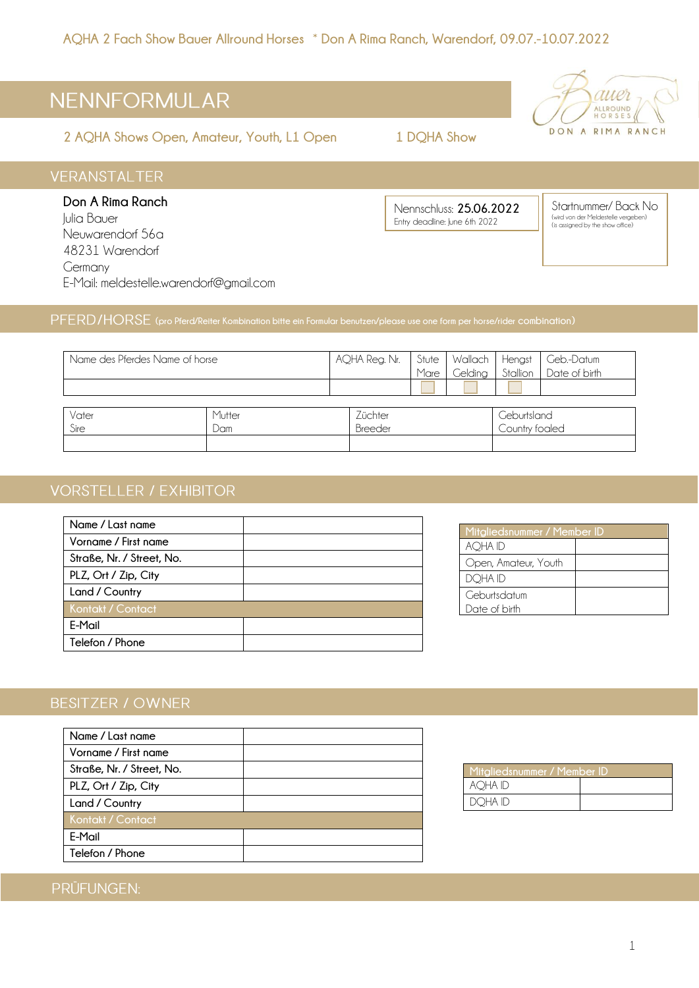# NENNFORMULAR

**2 AQHA Shows Open, Amateur, Youth, L1 Open 1 DQHA Show**



## **VERANSTALTER**

**Don A Rima Ranch** Julia Bauer Neuwarendorf 56a 48231 Warendorf Germany E-Mail: meldestelle.warendorf@gmail.com

Nennschluss: **25.06.2022** Entry deadline: lune 6th 2022

Startnummer/ Back No (wird von der Meldestelle vergeben) (is assigned by the show office)

## **(pro Pferd/Reiter Kombination bitte ein Formular benutzen/please use one form per horse/rider combination)**

| Name des Pferdes Name of horse |        | AQHA Reg. Nr. | Stute |                | Wallach   Hengst   Geb.-Datum<br>  Gelding   Stallion   Date of birth |
|--------------------------------|--------|---------------|-------|----------------|-----------------------------------------------------------------------|
|                                |        |               | Mare  |                |                                                                       |
|                                |        |               |       |                |                                                                       |
|                                |        |               |       |                |                                                                       |
| Vater                          | Mutter | Züchter       |       | Geburtsland    |                                                                       |
| Sire<br>Dam                    |        | Breeder       |       | Country foaled |                                                                       |
|                                |        |               |       |                |                                                                       |

## **VORSTELLER / EXHIBITOR**

| Name / Last name          |  |
|---------------------------|--|
| Vorname / First name      |  |
| Straße, Nr. / Street, No. |  |
| PLZ, Ort / Zip, City      |  |
| Land / Country            |  |
| Kontakt / Contact         |  |
| E-Mail                    |  |
| Telefon / Phone           |  |

| Mitgliedsnummer / Member ID |  |  |
|-----------------------------|--|--|
| AQHA ID                     |  |  |
| Open, Amateur, Youth        |  |  |
| DQHA ID                     |  |  |
| Geburtsdatum                |  |  |
| Date of birth               |  |  |

## **BESITZER / OWNER**

| Name / Last name          |  |
|---------------------------|--|
| Vorname / First name      |  |
| Straße, Nr. / Street, No. |  |
| PLZ, Ort / Zip, City      |  |
| Land / Country            |  |
| Kontakt / Contact         |  |
| E-Mail                    |  |
| Telefon / Phone           |  |



## PRÜFUNGEN: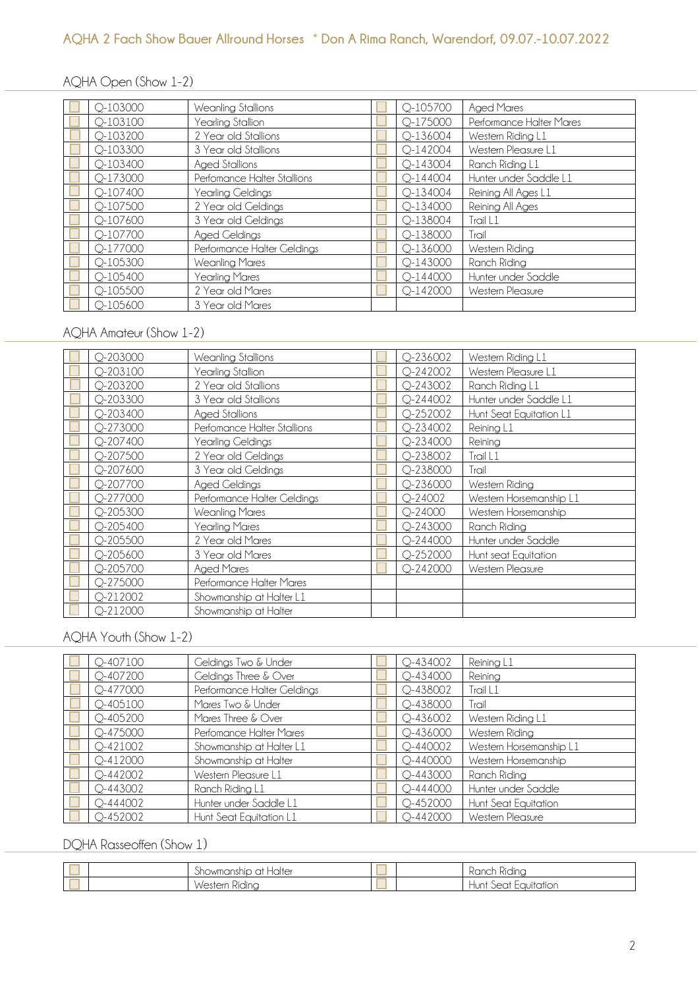### AQHA Open (Show 1-2)

| Q-103000     | Weanling Stallions          | Q-105700     | <b>Aged Mares</b>        |
|--------------|-----------------------------|--------------|--------------------------|
| $Q - 103100$ | Yearling Stallion           | Q-175000     | Performance Halter Mares |
| $Q - 103200$ | 2 Year old Stallions        | Q-136004     | Western Riding L1        |
| $Q - 103300$ | 3 Year old Stallions        | $Q - 142004$ | Western Pleasure L1      |
| $Q - 103400$ | Aged Stallions              | $Q - 143004$ | Ranch Riding L1          |
| Q-173000     | Perfomance Halter Stallions | $Q - 144004$ | Hunter under Saddle L1   |
| Q-107400     | Yearling Geldings           | $Q - 134004$ | Reining All Ages L1      |
| Q-107500     | 2 Year old Geldings         | $Q - 134000$ | Reining All Ages         |
| Q-107600     | 3 Year old Geldings         | Q-138004     | Trail L1                 |
| Q-107700     | Aged Geldings               | Q-138000     | Trail                    |
| Q-177000     | Performance Halter Geldings | Q-136000     | Western Riding           |
| $Q - 105300$ | <b>Weanling Mares</b>       | $Q - 143000$ | Ranch Riding             |
| Q-105400     | Yearling Mares              | $Q - 144000$ | Hunter under Saddle      |
| Q-105500     | 2 Year old Mares            | $Q - 142000$ | Western Pleasure         |
| $O-105600$   | 3 Year old Mares            |              |                          |

#### AQHA Amateur (Show 1-2)

| $Q - 203000$ | Weanling Stallions          | $Q - 236002$ | Western Riding L1       |
|--------------|-----------------------------|--------------|-------------------------|
| Q-203100     | Yearling Stallion           | $Q - 242002$ | Western Pleasure L1     |
| $Q - 203200$ | 2 Year old Stallions        | $Q - 243002$ | Ranch Riding L1         |
| $Q - 203300$ | 3 Year old Stallions        | $Q - 244002$ | Hunter under Saddle L1  |
| $Q - 203400$ | Aged Stallions              | $Q - 252002$ | Hunt Seat Equitation L1 |
| $Q - 273000$ | Perfomance Halter Stallions | $Q - 234002$ | Reining L1              |
| $Q - 207400$ | Yearling Geldings           | $Q - 234000$ | Reining                 |
| Q-207500     | 2 Year old Geldings         | Q-238002     | Trail L1                |
| Q-207600     | 3 Year old Geldings         | $Q - 238000$ | Trail                   |
| Q-207700     | Aged Geldings               | $Q - 236000$ | Western Riding          |
| $Q - 277000$ | Performance Halter Geldings | $Q - 24002$  | Western Horsemanship L1 |
| $Q - 205300$ | Weanling Mares              | $Q - 24000$  | Western Horsemanship    |
| $Q - 205400$ | Yearling Mares              | $Q - 243000$ | Ranch Riding            |
| $Q - 205500$ | 2 Year old Mares            | $Q - 244000$ | Hunter under Saddle     |
| $Q - 205600$ | 3 Year old Mares            | Q-252000     | Hunt seat Equitation    |
| $Q - 205700$ | <b>Aged Mares</b>           | $Q - 242000$ | Western Pleasure        |
| Q-275000     | Performance Halter Mares    |              |                         |
| $Q-212002$   | Showmanship at Halter L1    |              |                         |
| $Q - 212000$ | Showmanship at Halter       |              |                         |

#### AQHA Youth (Show 1-2)

| Q-407100     | Geldings Two & Under        | $Q - 434002$ | Reining L1              |
|--------------|-----------------------------|--------------|-------------------------|
| $Q - 407200$ | Geldings Three & Over       | $Q - 434000$ | Reining                 |
| $Q - 477000$ | Performance Halter Geldings | $Q - 438002$ | Trail L1                |
| $Q - 405100$ | Mares Two & Under           | $Q - 438000$ | Trail                   |
| $Q - 405200$ | Mares Three & Over          | $Q - 436002$ | Western Riding L1       |
| Q-475000     | Perfomance Halter Mares     | $Q - 436000$ | Western Riding          |
| $Q - 421002$ | Showmanship at Halter L1    | $Q - 440002$ | Western Horsemanship L1 |
| $Q - 412000$ | Showmanship at Halter       | $Q - 440000$ | Western Horsemanship    |
| $Q - 442002$ | Western Pleasure L1         | $Q - 443000$ | Ranch Riding            |
| $Q - 443002$ | Ranch Riding L1             | $Q - 444000$ | Hunter under Saddle     |
| $Q - 444002$ | Hunter under Saddle L1      | $Q - 452000$ | Hunt Seat Equitation    |
| $O-452002$   | Hunt Seat Equitation L1     | $Q - 442000$ | Western Pleasure        |

## DQHA Rasseoffen (Show 1)

|  | $\sim$<br>Haltei<br><i><u><b>Showmanship</b></u></i><br>at |  | Kanch<br>Kidinc                                                        |
|--|------------------------------------------------------------|--|------------------------------------------------------------------------|
|  | <b>A</b> .<br>Western<br>Kidina                            |  | $\sim$ $\sim$<br>.uuitation<br>lunt.<br>$\sim$ $\sim$ $\sim$ $+$<br>ww |